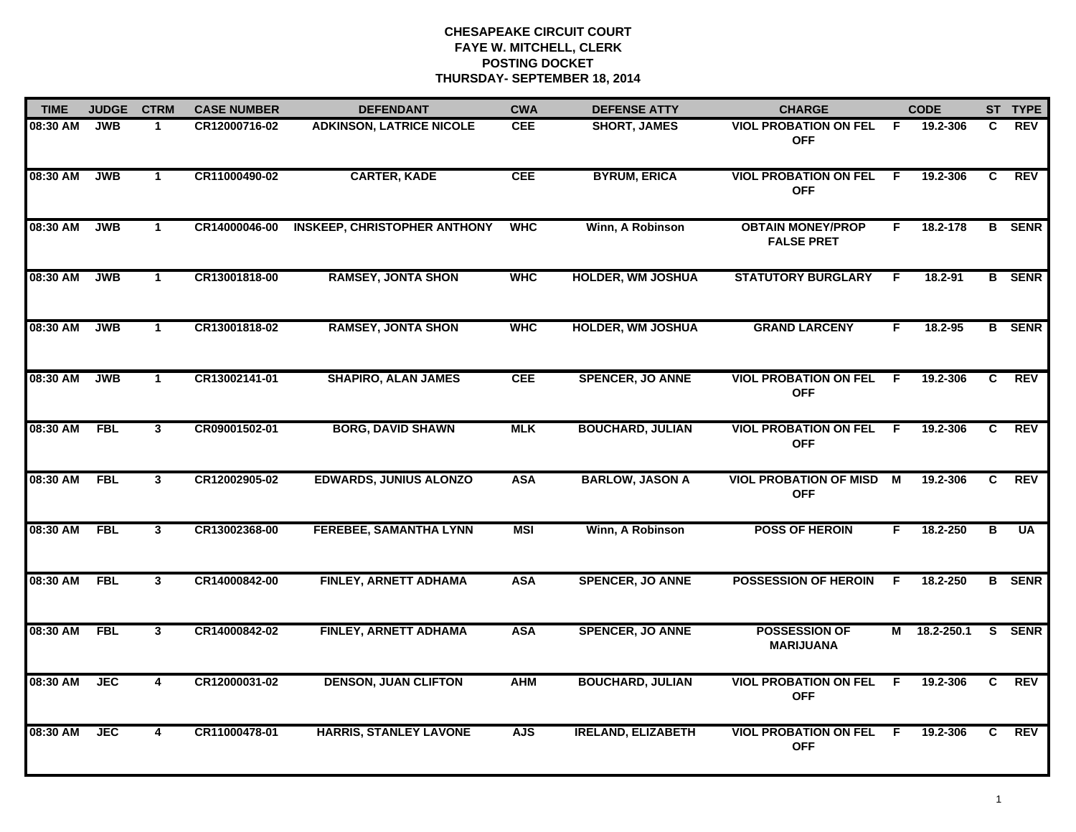| <b>TIME</b> | <b>JUDGE</b> | <b>CTRM</b>             | <b>CASE NUMBER</b> | <b>DEFENDANT</b>                    | <b>CWA</b> | <b>DEFENSE ATTY</b>       | <b>CHARGE</b>                                 |     | <b>CODE</b>  |                | ST TYPE       |
|-------------|--------------|-------------------------|--------------------|-------------------------------------|------------|---------------------------|-----------------------------------------------|-----|--------------|----------------|---------------|
| 08:30 AM    | <b>JWB</b>   | $\mathbf 1$             | CR12000716-02      | <b>ADKINSON, LATRICE NICOLE</b>     | <b>CEE</b> | <b>SHORT, JAMES</b>       | <b>VIOL PROBATION ON FEL</b><br><b>OFF</b>    | - F | 19.2-306     | C.             | REV           |
| 08:30 AM    | <b>JWB</b>   | $\mathbf{1}$            | CR11000490-02      | <b>CARTER, KADE</b>                 | <b>CEE</b> | <b>BYRUM, ERICA</b>       | <b>VIOL PROBATION ON FEL</b><br><b>OFF</b>    | F.  | 19.2-306     | C              | <b>REV</b>    |
| 08:30 AM    | <b>JWB</b>   | $\mathbf{1}$            | CR14000046-00      | <b>INSKEEP, CHRISTOPHER ANTHONY</b> | <b>WHC</b> | Winn, A Robinson          | <b>OBTAIN MONEY/PROP</b><br><b>FALSE PRET</b> | F.  | 18.2-178     |                | <b>B</b> SENR |
| 08:30 AM    | <b>JWB</b>   | $\mathbf 1$             | CR13001818-00      | <b>RAMSEY, JONTA SHON</b>           | <b>WHC</b> | <b>HOLDER, WM JOSHUA</b>  | <b>STATUTORY BURGLARY</b>                     | F.  | 18.2-91      |                | <b>B</b> SENR |
| 08:30 AM    | <b>JWB</b>   | $\mathbf{1}$            | CR13001818-02      | <b>RAMSEY, JONTA SHON</b>           | <b>WHC</b> | <b>HOLDER, WM JOSHUA</b>  | <b>GRAND LARCENY</b>                          | F.  | 18.2-95      |                | <b>B</b> SENR |
| 08:30 AM    | <b>JWB</b>   | $\mathbf{1}$            | CR13002141-01      | <b>SHAPIRO, ALAN JAMES</b>          | <b>CEE</b> | <b>SPENCER, JO ANNE</b>   | <b>VIOL PROBATION ON FEL</b><br><b>OFF</b>    | F.  | 19.2-306     | C.             | REV           |
| 08:30 AM    | <b>FBL</b>   | 3                       | CR09001502-01      | <b>BORG, DAVID SHAWN</b>            | <b>MLK</b> | <b>BOUCHARD, JULIAN</b>   | <b>VIOL PROBATION ON FEL</b><br><b>OFF</b>    | F.  | 19.2-306     | $\mathbf{c}$   | REV           |
| 08:30 AM    | <b>FBL</b>   | $\mathbf{3}$            | CR12002905-02      | <b>EDWARDS, JUNIUS ALONZO</b>       | <b>ASA</b> | <b>BARLOW, JASON A</b>    | <b>VIOL PROBATION OF MISD M</b><br><b>OFF</b> |     | 19.2-306     | C.             | REV           |
| 08:30 AM    | <b>FBL</b>   | $\mathbf{3}$            | CR13002368-00      | <b>FEREBEE, SAMANTHA LYNN</b>       | <b>MSI</b> | Winn, A Robinson          | <b>POSS OF HEROIN</b>                         | F.  | 18.2-250     | в              | <b>UA</b>     |
| 08:30 AM    | <b>FBL</b>   | $\mathbf{3}$            | CR14000842-00      | FINLEY, ARNETT ADHAMA               | <b>ASA</b> | <b>SPENCER, JO ANNE</b>   | <b>POSSESSION OF HEROIN</b>                   | F   | 18.2-250     |                | <b>B</b> SENR |
| 08:30 AM    | <b>FBL</b>   | $\overline{3}$          | CR14000842-02      | FINLEY, ARNETT ADHAMA               | <b>ASA</b> | <b>SPENCER, JO ANNE</b>   | <b>POSSESSION OF</b><br><b>MARIJUANA</b>      |     | M 18.2-250.1 |                | S SENR        |
| 08:30 AM    | <b>JEC</b>   | $\overline{\mathbf{4}}$ | CR12000031-02      | <b>DENSON, JUAN CLIFTON</b>         | <b>AHM</b> | <b>BOUCHARD, JULIAN</b>   | <b>VIOL PROBATION ON FEL</b><br><b>OFF</b>    | F.  | 19.2-306     | $\overline{c}$ | <b>REV</b>    |
| 08:30 AM    | <b>JEC</b>   | 4                       | CR11000478-01      | <b>HARRIS, STANLEY LAVONE</b>       | <b>AJS</b> | <b>IRELAND, ELIZABETH</b> | <b>VIOL PROBATION ON FEL</b><br><b>OFF</b>    | -F  | 19.2-306     | C.             | REV           |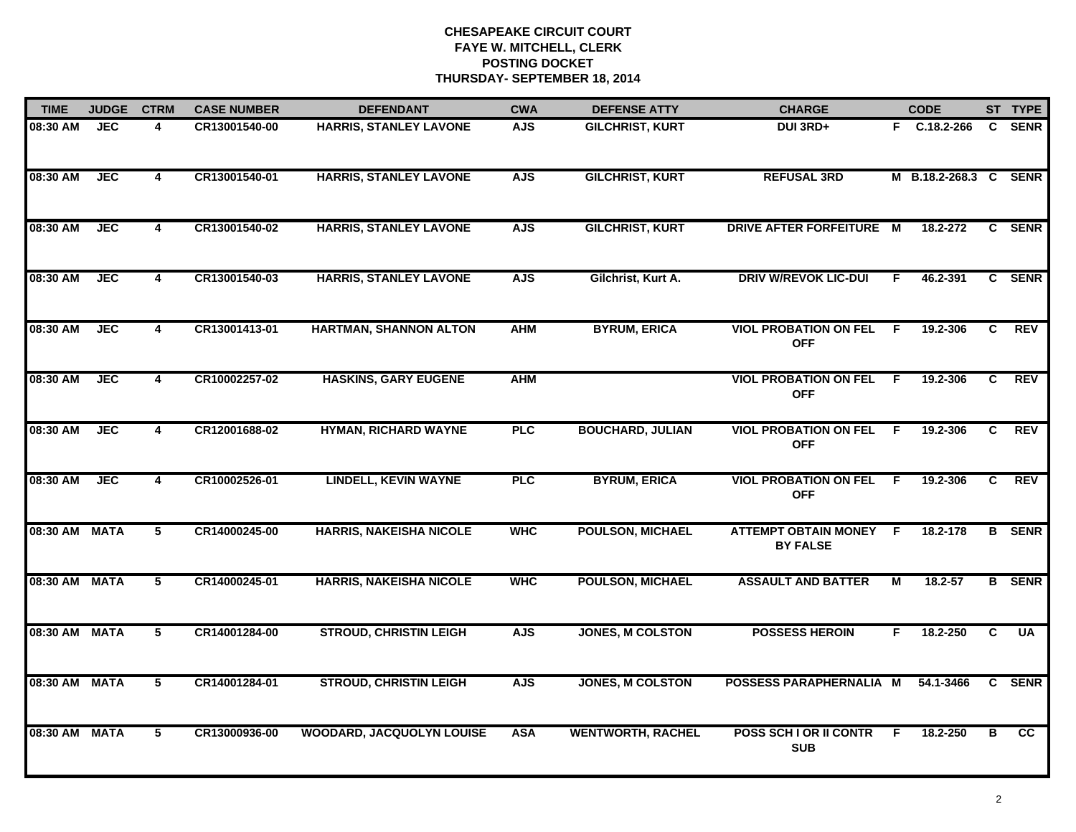| <b>TIME</b>   | <b>JUDGE</b> | <b>CTRM</b>    | <b>CASE NUMBER</b> | <b>DEFENDANT</b>                 | <b>CWA</b> | <b>DEFENSE ATTY</b>      | <b>CHARGE</b>                                  |     | <b>CODE</b>           |    | ST TYPE       |
|---------------|--------------|----------------|--------------------|----------------------------------|------------|--------------------------|------------------------------------------------|-----|-----------------------|----|---------------|
| 08:30 AM      | <b>JEC</b>   | 4              | CR13001540-00      | <b>HARRIS, STANLEY LAVONE</b>    | <b>AJS</b> | <b>GILCHRIST, KURT</b>   | DUI 3RD+                                       |     | F C.18.2-266          |    | C SENR        |
| 08:30 AM      | <b>JEC</b>   | 4              | CR13001540-01      | <b>HARRIS, STANLEY LAVONE</b>    | <b>AJS</b> | <b>GILCHRIST, KURT</b>   | <b>REFUSAL 3RD</b>                             |     | M B.18.2-268.3 C SENR |    |               |
| 08:30 AM      | <b>JEC</b>   | $\overline{4}$ | CR13001540-02      | <b>HARRIS, STANLEY LAVONE</b>    | <b>AJS</b> | <b>GILCHRIST, KURT</b>   | <b>DRIVE AFTER FORFEITURE M</b>                |     | 18.2-272              |    | C SENR        |
| 08:30 AM      | <b>JEC</b>   | 4              | CR13001540-03      | <b>HARRIS, STANLEY LAVONE</b>    | <b>AJS</b> | Gilchrist, Kurt A.       | <b>DRIV W/REVOK LIC-DUI</b>                    | F.  | 46.2-391              |    | C SENR        |
| 08:30 AM      | JEC          | 4              | CR13001413-01      | HARTMAN, SHANNON ALTON           | <b>AHM</b> | <b>BYRUM, ERICA</b>      | <b>VIOL PROBATION ON FEL</b><br><b>OFF</b>     | E   | 19.2-306              | C. | <b>REV</b>    |
| 08:30 AM      | <b>JEC</b>   | $\overline{4}$ | CR10002257-02      | <b>HASKINS, GARY EUGENE</b>      | <b>AHM</b> |                          | <b>VIOL PROBATION ON FEL</b><br><b>OFF</b>     | - F | 19.2-306              | C. | <b>REV</b>    |
| 08:30 AM      | <b>JEC</b>   | $\overline{4}$ | CR12001688-02      | <b>HYMAN, RICHARD WAYNE</b>      | <b>PLC</b> | <b>BOUCHARD, JULIAN</b>  | <b>VIOL PROBATION ON FEL</b><br><b>OFF</b>     | - F | 19.2-306              | C  | <b>REV</b>    |
| 08:30 AM      | <b>JEC</b>   | $\overline{4}$ | CR10002526-01      | <b>LINDELL, KEVIN WAYNE</b>      | PLC        | <b>BYRUM, ERICA</b>      | <b>VIOL PROBATION ON FEL</b><br><b>OFF</b>     | E   | 19.2-306              | C  | REV           |
| 08:30 AM      | <b>MATA</b>  | 5              | CR14000245-00      | <b>HARRIS, NAKEISHA NICOLE</b>   | <b>WHC</b> | <b>POULSON, MICHAEL</b>  | <b>ATTEMPT OBTAIN MONEY</b><br><b>BY FALSE</b> | E   | 18.2-178              |    | <b>B</b> SENR |
| 08:30 AM      | <b>MATA</b>  | 5              | CR14000245-01      | <b>HARRIS, NAKEISHA NICOLE</b>   | <b>WHC</b> | <b>POULSON, MICHAEL</b>  | <b>ASSAULT AND BATTER</b>                      | M   | $18.2 - 57$           |    | <b>B</b> SENR |
| 08:30 AM MATA |              | 5              | CR14001284-00      | <b>STROUD, CHRISTIN LEIGH</b>    | <b>AJS</b> | <b>JONES, M COLSTON</b>  | <b>POSSESS HEROIN</b>                          | F.  | 18.2-250              | C  | <b>UA</b>     |
| 08:30 AM      | <b>MATA</b>  | $\overline{5}$ | CR14001284-01      | <b>STROUD, CHRISTIN LEIGH</b>    | <b>AJS</b> | JONES, M COLSTON         | POSSESS PARAPHERNALIA M                        |     | 54.1-3466             | C. | <b>SENR</b>   |
| 08:30 AM      | <b>MATA</b>  | $\overline{5}$ | CR13000936-00      | <b>WOODARD, JACQUOLYN LOUISE</b> | <b>ASA</b> | <b>WENTWORTH, RACHEL</b> | <b>POSS SCH I OR II CONTR</b><br><b>SUB</b>    | F   | 18.2-250              | в  | cc            |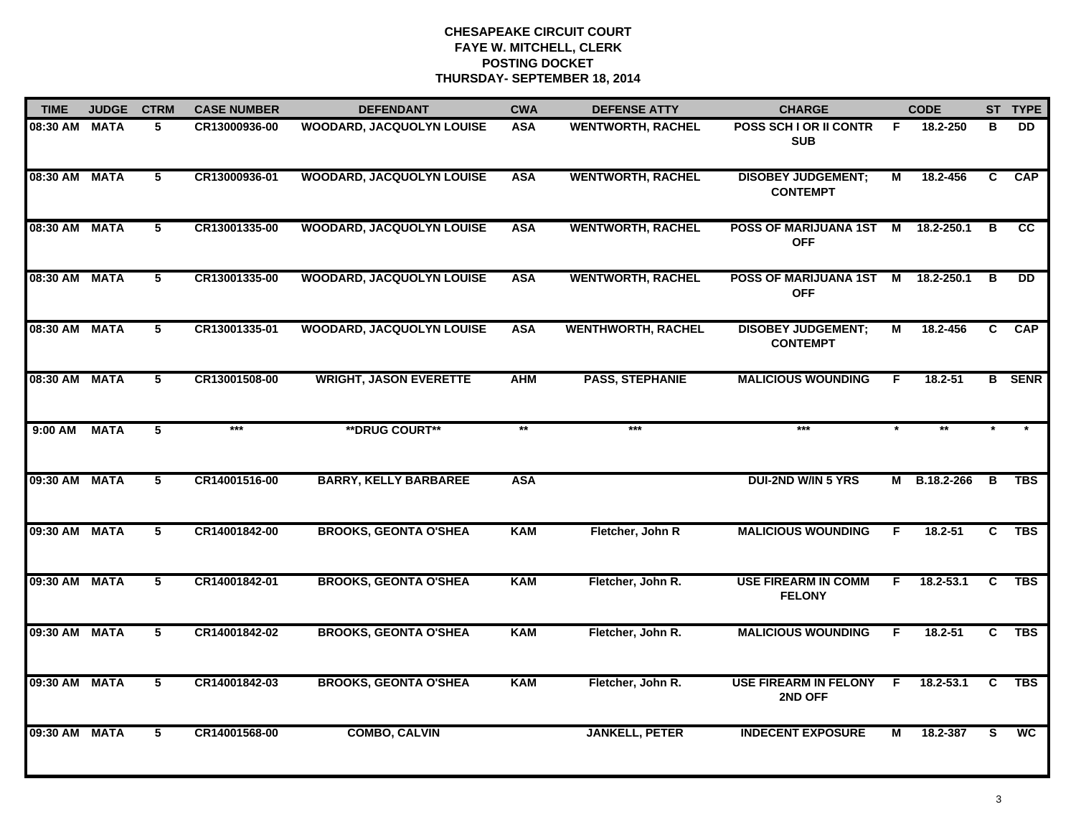| <b>TIME</b>   | <b>JUDGE</b> | <b>CTRM</b>    | <b>CASE NUMBER</b> | <b>DEFENDANT</b>                 | <b>CWA</b> | <b>DEFENSE ATTY</b>       | <b>CHARGE</b>                                |                         | <b>CODE</b>   |    | ST TYPE       |
|---------------|--------------|----------------|--------------------|----------------------------------|------------|---------------------------|----------------------------------------------|-------------------------|---------------|----|---------------|
| 08:30 AM      | <b>MATA</b>  | 5              | CR13000936-00      | WOODARD, JACQUOLYN LOUISE        | <b>ASA</b> | <b>WENTWORTH, RACHEL</b>  | <b>POSS SCH I OR II CONTR</b><br><b>SUB</b>  | E                       | 18.2-250      | в  | DD            |
| 08:30 AM      | <b>MATA</b>  | 5              | CR13000936-01      | <b>WOODARD, JACQUOLYN LOUISE</b> | <b>ASA</b> | <b>WENTWORTH, RACHEL</b>  | <b>DISOBEY JUDGEMENT;</b><br><b>CONTEMPT</b> | $\overline{\mathsf{M}}$ | 18.2-456      | C  | CAP           |
| 08:30 AM      | <b>MATA</b>  | 5              | CR13001335-00      | <b>WOODARD, JACQUOLYN LOUISE</b> | <b>ASA</b> | <b>WENTWORTH, RACHEL</b>  | <b>POSS OF MARIJUANA 1ST</b><br><b>OFF</b>   | M                       | 18.2-250.1    | в  | cc            |
| 08:30 AM      | <b>MATA</b>  | 5              | CR13001335-00      | <b>WOODARD, JACQUOLYN LOUISE</b> | <b>ASA</b> | <b>WENTWORTH, RACHEL</b>  | <b>POSS OF MARIJUANA 1ST</b><br><b>OFF</b>   | M                       | 18.2-250.1    | в  | <b>DD</b>     |
| 08:30 AM      | <b>MATA</b>  | 5              | CR13001335-01      | <b>WOODARD, JACQUOLYN LOUISE</b> | <b>ASA</b> | <b>WENTHWORTH, RACHEL</b> | <b>DISOBEY JUDGEMENT;</b><br><b>CONTEMPT</b> | Μ                       | 18.2-456      | C. | <b>CAP</b>    |
| 08:30 AM MATA |              | 5              | CR13001508-00      | <b>WRIGHT, JASON EVERETTE</b>    | <b>AHM</b> | <b>PASS, STEPHANIE</b>    | <b>MALICIOUS WOUNDING</b>                    | F.                      | $18.2 - 51$   |    | <b>B</b> SENR |
| 9:00 AM       | <b>MATA</b>  | $\overline{5}$ | $***$              | <b>**DRUG COURT**</b>            | $**$       | $***$                     | $***$                                        |                         | $**$          |    |               |
| 09:30 AM      | <b>MATA</b>  | 5              | CR14001516-00      | <b>BARRY, KELLY BARBAREE</b>     | <b>ASA</b> |                           | <b>DUI-2ND W/IN 5 YRS</b>                    |                         | M B.18.2-266  | В  | <b>TBS</b>    |
| 09:30 AM      | <b>MATA</b>  | 5              | CR14001842-00      | <b>BROOKS, GEONTA O'SHEA</b>     | <b>KAM</b> | Fletcher, John R          | <b>MALICIOUS WOUNDING</b>                    | F.                      | 18.2-51       | C. | <b>TBS</b>    |
| 09:30 AM      | <b>MATA</b>  | 5              | CR14001842-01      | <b>BROOKS, GEONTA O'SHEA</b>     | <b>KAM</b> | Fletcher, John R.         | <b>USE FIREARM IN COMM</b><br><b>FELONY</b>  | F.                      | $18.2 - 53.1$ | C  | <b>TBS</b>    |
| 09:30 AM      | <b>MATA</b>  | 5              | CR14001842-02      | <b>BROOKS, GEONTA O'SHEA</b>     | <b>KAM</b> | Fletcher, John R.         | <b>MALICIOUS WOUNDING</b>                    | F                       | 18.2-51       | C  | <b>TBS</b>    |
| 09:30 AM      | <b>MATA</b>  | 5              | CR14001842-03      | <b>BROOKS, GEONTA O'SHEA</b>     | <b>KAM</b> | Fletcher, John R.         | <b>USE FIREARM IN FELONY</b><br>2ND OFF      | -F                      | 18.2-53.1     | C. | <b>TBS</b>    |
| 09:30 AM      | <b>MATA</b>  | $\overline{5}$ | CR14001568-00      | <b>COMBO, CALVIN</b>             |            | <b>JANKELL, PETER</b>     | <b>INDECENT EXPOSURE</b>                     | М                       | 18.2-387      | S  | <b>WC</b>     |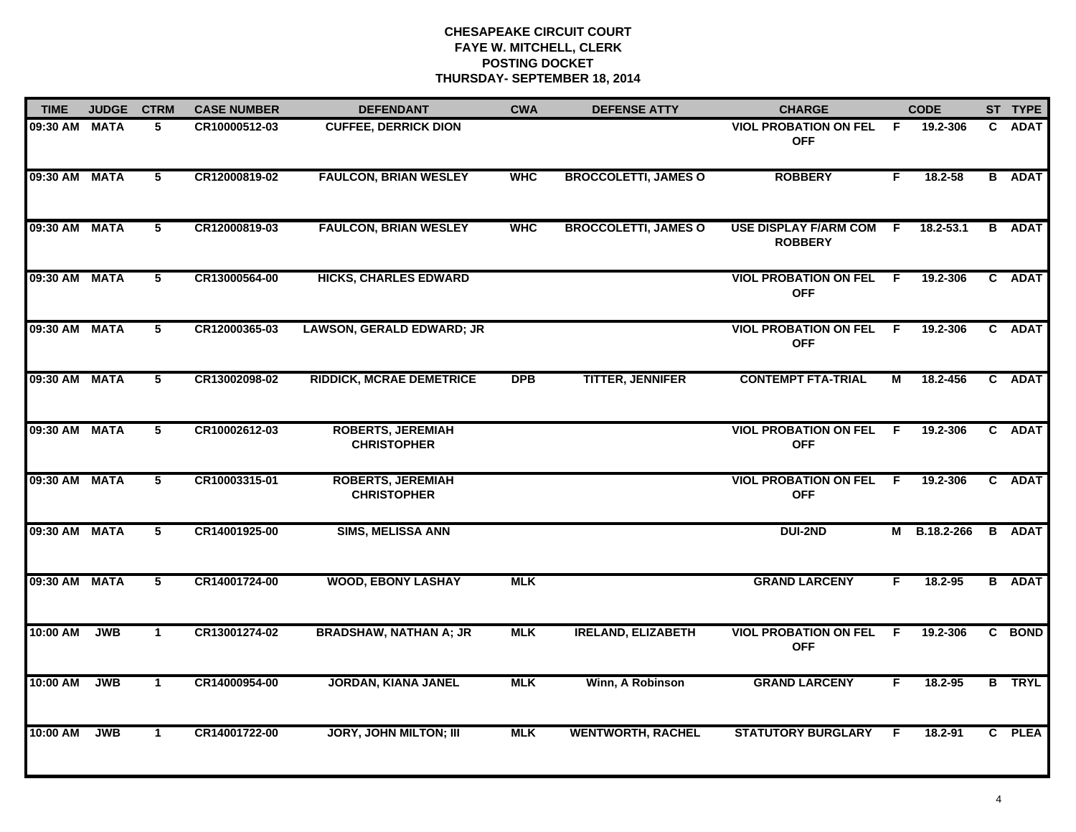| <b>TIME</b>   | <b>JUDGE</b> | <b>CTRM</b>     | <b>CASE NUMBER</b> | <b>DEFENDANT</b>                               | <b>CWA</b> | <b>DEFENSE ATTY</b>         | <b>CHARGE</b>                                  |     | <b>CODE</b> |              | ST TYPE       |
|---------------|--------------|-----------------|--------------------|------------------------------------------------|------------|-----------------------------|------------------------------------------------|-----|-------------|--------------|---------------|
| 09:30 AM MATA |              | 5               | CR10000512-03      | <b>CUFFEE, DERRICK DION</b>                    |            |                             | <b>VIOL PROBATION ON FEL</b><br><b>OFF</b>     | F.  | 19.2-306    | $\mathbf{c}$ | <b>ADAT</b>   |
| 09:30 AM MATA |              | $5\overline{ }$ | CR12000819-02      | <b>FAULCON, BRIAN WESLEY</b>                   | <b>WHC</b> | <b>BROCCOLETTI, JAMES O</b> | <b>ROBBERY</b>                                 | F.  | 18.2-58     |              | <b>B</b> ADAT |
| 09:30 AM MATA |              | 5               | CR12000819-03      | <b>FAULCON, BRIAN WESLEY</b>                   | <b>WHC</b> | <b>BROCCOLETTI, JAMES O</b> | <b>USE DISPLAY F/ARM COM</b><br><b>ROBBERY</b> | -F  | 18.2-53.1   |              | <b>B</b> ADAT |
| 09:30 AM MATA |              | 5               | CR13000564-00      | <b>HICKS, CHARLES EDWARD</b>                   |            |                             | <b>VIOL PROBATION ON FEL</b><br><b>OFF</b>     | - F | 19.2-306    |              | C ADAT        |
| 09:30 AM MATA |              | 5               | CR12000365-03      | <b>LAWSON, GERALD EDWARD; JR</b>               |            |                             | <b>VIOL PROBATION ON FEL</b><br><b>OFF</b>     | F.  | 19.2-306    |              | C ADAT        |
| 09:30 AM MATA |              | 5               | CR13002098-02      | <b>RIDDICK, MCRAE DEMETRICE</b>                | <b>DPB</b> | <b>TITTER, JENNIFER</b>     | <b>CONTEMPT FTA-TRIAL</b>                      | М   | 18.2-456    |              | C ADAT        |
| 09:30 AM MATA |              | $\overline{5}$  | CR10002612-03      | <b>ROBERTS, JEREMIAH</b><br><b>CHRISTOPHER</b> |            |                             | <b>VIOL PROBATION ON FEL</b><br><b>OFF</b>     | -F. | 19.2-306    |              | C ADAT        |
| 09:30 AM MATA |              | 5               | CR10003315-01      | <b>ROBERTS, JEREMIAH</b><br><b>CHRISTOPHER</b> |            |                             | <b>VIOL PROBATION ON FEL</b><br><b>OFF</b>     | - F | 19.2-306    |              | C ADAT        |
| 09:30 AM MATA |              | 5               | CR14001925-00      | <b>SIMS, MELISSA ANN</b>                       |            |                             | <b>DUI-2ND</b>                                 | м   | B.18.2-266  |              | <b>B</b> ADAT |
| 09:30 AM MATA |              | 5               | CR14001724-00      | <b>WOOD, EBONY LASHAY</b>                      | <b>MLK</b> |                             | <b>GRAND LARCENY</b>                           | F.  | $18.2 - 95$ |              | <b>B</b> ADAT |
| 10:00 AM      | <b>JWB</b>   | $\mathbf{1}$    | CR13001274-02      | <b>BRADSHAW, NATHAN A; JR</b>                  | <b>MLK</b> | <b>IRELAND, ELIZABETH</b>   | <b>VIOL PROBATION ON FEL F</b><br><b>OFF</b>   |     | 19.2-306    |              | C BOND        |
| 10:00 AM      | <b>JWB</b>   | $\mathbf{1}$    | CR14000954-00      | <b>JORDAN, KIANA JANEL</b>                     | <b>MLK</b> | Winn, A Robinson            | <b>GRAND LARCENY</b>                           | F.  | 18.2-95     |              | <b>B</b> TRYL |
| 10:00 AM      | <b>JWB</b>   | $\mathbf{1}$    | CR14001722-00      | <b>JORY, JOHN MILTON; III</b>                  | <b>MLK</b> | <b>WENTWORTH, RACHEL</b>    | <b>STATUTORY BURGLARY</b>                      | F.  | 18.2-91     |              | C PLEA        |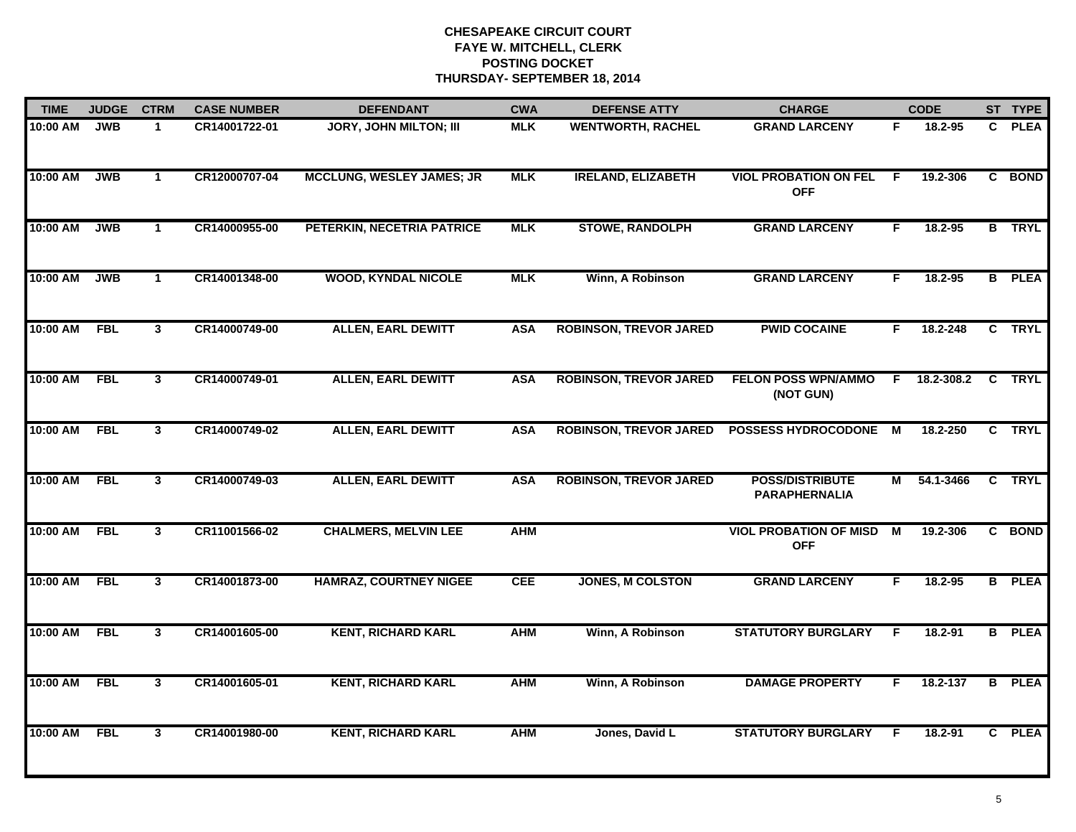| <b>TIME</b> | <b>JUDGE</b> | <b>CTRM</b>             | <b>CASE NUMBER</b> | <b>DEFENDANT</b>                 | <b>CWA</b> | <b>DEFENSE ATTY</b>           | <b>CHARGE</b>                                  |    | <b>CODE</b> |                | ST TYPE       |
|-------------|--------------|-------------------------|--------------------|----------------------------------|------------|-------------------------------|------------------------------------------------|----|-------------|----------------|---------------|
| 10:00 AM    | <b>JWB</b>   | $\mathbf{1}$            | CR14001722-01      | <b>JORY, JOHN MILTON; III</b>    | <b>MLK</b> | <b>WENTWORTH, RACHEL</b>      | <b>GRAND LARCENY</b>                           | F  | 18.2-95     | $\mathbf{c}$   | <b>PLEA</b>   |
| 10:00 AM    | <b>JWB</b>   | $\mathbf{1}$            | CR12000707-04      | <b>MCCLUNG, WESLEY JAMES; JR</b> | <b>MLK</b> | <b>IRELAND, ELIZABETH</b>     | <b>VIOL PROBATION ON FEL</b><br><b>OFF</b>     | F  | 19.2-306    |                | C BOND        |
| 10:00 AM    | <b>JWB</b>   | $\mathbf{1}$            | CR14000955-00      | PETERKIN, NECETRIA PATRICE       | <b>MLK</b> | <b>STOWE, RANDOLPH</b>        | <b>GRAND LARCENY</b>                           | F. | 18.2-95     |                | <b>B</b> TRYL |
| 10:00 AM    | <b>JWB</b>   | $\mathbf{1}$            | CR14001348-00      | <b>WOOD, KYNDAL NICOLE</b>       | <b>MLK</b> | Winn, A Robinson              | <b>GRAND LARCENY</b>                           | F. | 18.2-95     |                | <b>B</b> PLEA |
| 10:00 AM    | <b>FBL</b>   | $\mathbf{3}$            | CR14000749-00      | <b>ALLEN, EARL DEWITT</b>        | <b>ASA</b> | <b>ROBINSON, TREVOR JARED</b> | <b>PWID COCAINE</b>                            | F. | 18.2-248    |                | C TRYL        |
| 10:00 AM    | <b>FBL</b>   | $\mathbf{3}$            | CR14000749-01      | <b>ALLEN, EARL DEWITT</b>        | <b>ASA</b> | <b>ROBINSON, TREVOR JARED</b> | <b>FELON POSS WPN/AMMO</b><br>(NOT GUN)        | F. | 18.2-308.2  |                | C TRYL        |
| 10:00 AM    | <b>FBL</b>   | $\overline{\mathbf{3}}$ | CR14000749-02      | <b>ALLEN, EARL DEWITT</b>        | <b>ASA</b> | <b>ROBINSON, TREVOR JARED</b> | POSSESS HYDROCODONE M                          |    | 18.2-250    |                | C TRYL        |
| 10:00 AM    | <b>FBL</b>   | $\overline{3}$          | CR14000749-03      | <b>ALLEN, EARL DEWITT</b>        | <b>ASA</b> | <b>ROBINSON, TREVOR JARED</b> | <b>POSS/DISTRIBUTE</b><br><b>PARAPHERNALIA</b> | М  | 54.1-3466   |                | C TRYL        |
| 10:00 AM    | <b>FBL</b>   | $\mathbf{3}$            | CR11001566-02      | <b>CHALMERS, MELVIN LEE</b>      | <b>AHM</b> |                               | <b>VIOL PROBATION OF MISD</b><br><b>OFF</b>    | М  | 19.2-306    |                | C BOND        |
| 10:00 AM    | <b>FBL</b>   | $\mathbf{3}$            | CR14001873-00      | <b>HAMRAZ, COURTNEY NIGEE</b>    | <b>CEE</b> | <b>JONES, M COLSTON</b>       | <b>GRAND LARCENY</b>                           | F  | $18.2 - 95$ |                | <b>B</b> PLEA |
| 10:00 AM    | <b>FBL</b>   | $\mathbf{3}$            | CR14001605-00      | <b>KENT, RICHARD KARL</b>        | <b>AHM</b> | Winn, A Robinson              | <b>STATUTORY BURGLARY</b>                      | F. | 18.2-91     |                | <b>B</b> PLEA |
| 10:00 AM    | <b>FBL</b>   | $\mathbf{3}$            | CR14001605-01      | <b>KENT, RICHARD KARL</b>        | <b>AHM</b> | Winn, A Robinson              | <b>DAMAGE PROPERTY</b>                         | F. | 18.2-137    | $\overline{B}$ | <b>PLEA</b>   |
| 10:00 AM    | <b>FBL</b>   | 3                       | CR14001980-00      | <b>KENT, RICHARD KARL</b>        | <b>AHM</b> | Jones, David L                | <b>STATUTORY BURGLARY</b>                      | F  | 18.2-91     |                | C PLEA        |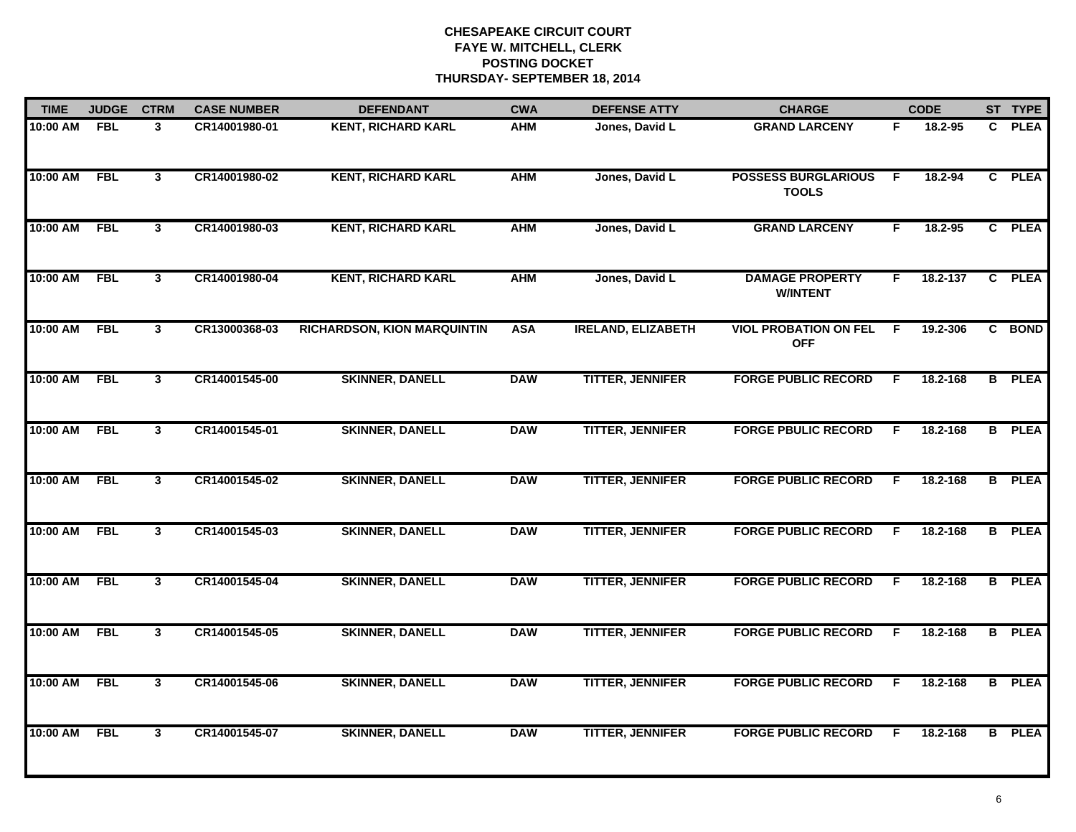| <b>TIME</b> | <b>JUDGE</b> | <b>CTRM</b>    | <b>CASE NUMBER</b> | <b>DEFENDANT</b>                   | <b>CWA</b> | <b>DEFENSE ATTY</b>       | <b>CHARGE</b>                              |    | <b>CODE</b> |              | ST TYPE       |
|-------------|--------------|----------------|--------------------|------------------------------------|------------|---------------------------|--------------------------------------------|----|-------------|--------------|---------------|
| 10:00 AM    | <b>FBL</b>   | $\mathbf{3}$   | CR14001980-01      | <b>KENT, RICHARD KARL</b>          | <b>AHM</b> | Jones, David L            | <b>GRAND LARCENY</b>                       | F. | 18.2-95     | $\mathbf{c}$ | <b>PLEA</b>   |
| 10:00 AM    | <b>FBL</b>   | $\mathbf{3}$   | CR14001980-02      | <b>KENT, RICHARD KARL</b>          | <b>AHM</b> | Jones, David L            | <b>POSSESS BURGLARIOUS</b><br><b>TOOLS</b> | -F | 18.2-94     |              | C PLEA        |
| 10:00 AM    | <b>FBL</b>   | $\overline{3}$ | CR14001980-03      | <b>KENT, RICHARD KARL</b>          | <b>AHM</b> | Jones, David L            | <b>GRAND LARCENY</b>                       | F  | 18.2-95     |              | C PLEA        |
| 10:00 AM    | <b>FBL</b>   | 3              | CR14001980-04      | <b>KENT, RICHARD KARL</b>          | <b>AHM</b> | Jones, David L            | <b>DAMAGE PROPERTY</b><br><b>W/INTENT</b>  | F. | 18.2-137    |              | C PLEA        |
| 10:00 AM    | <b>FBL</b>   | $\mathbf{3}$   | CR13000368-03      | <b>RICHARDSON, KION MARQUINTIN</b> | <b>ASA</b> | <b>IRELAND, ELIZABETH</b> | <b>VIOL PROBATION ON FEL</b><br><b>OFF</b> | E  | 19.2-306    |              | C BOND        |
| 10:00 AM    | <b>FBL</b>   | $\mathbf{3}$   | CR14001545-00      | <b>SKINNER, DANELL</b>             | <b>DAW</b> | <b>TITTER, JENNIFER</b>   | <b>FORGE PUBLIC RECORD</b>                 | F. | 18.2-168    |              | <b>B</b> PLEA |
| 10:00 AM    | <b>FBL</b>   | 3              | CR14001545-01      | <b>SKINNER, DANELL</b>             | <b>DAW</b> | <b>TITTER, JENNIFER</b>   | <b>FORGE PBULIC RECORD</b>                 | F. | 18.2-168    |              | <b>B</b> PLEA |
| 10:00 AM    | <b>FBL</b>   | 3              | CR14001545-02      | <b>SKINNER, DANELL</b>             | <b>DAW</b> | <b>TITTER, JENNIFER</b>   | <b>FORGE PUBLIC RECORD</b>                 | F. | 18.2-168    |              | <b>B</b> PLEA |
| 10:00 AM    | <b>FBL</b>   | $\mathbf{3}$   | CR14001545-03      | <b>SKINNER, DANELL</b>             | <b>DAW</b> | <b>TITTER, JENNIFER</b>   | <b>FORGE PUBLIC RECORD</b>                 | F. | 18.2-168    |              | <b>B</b> PLEA |
| 10:00 AM    | <b>FBL</b>   | $\mathbf{3}$   | CR14001545-04      | <b>SKINNER, DANELL</b>             | <b>DAW</b> | <b>TITTER, JENNIFER</b>   | <b>FORGE PUBLIC RECORD</b>                 | F  | 18.2-168    |              | <b>B</b> PLEA |
| 10:00 AM    | <b>FBL</b>   | 3              | CR14001545-05      | <b>SKINNER, DANELL</b>             | <b>DAW</b> | <b>TITTER, JENNIFER</b>   | <b>FORGE PUBLIC RECORD</b>                 | F. | 18.2-168    |              | <b>B</b> PLEA |
| 10:00 AM    | <b>FBL</b>   | $\mathbf{3}$   | CR14001545-06      | <b>SKINNER, DANELL</b>             | <b>DAW</b> | <b>TITTER, JENNIFER</b>   | <b>FORGE PUBLIC RECORD</b>                 | F. | 18.2-168    | B            | <b>PLEA</b>   |
| 10:00 AM    | <b>FBL</b>   | 3              | CR14001545-07      | <b>SKINNER, DANELL</b>             | <b>DAW</b> | <b>TITTER, JENNIFER</b>   | <b>FORGE PUBLIC RECORD</b>                 | F. | 18.2-168    |              | <b>B</b> PLEA |